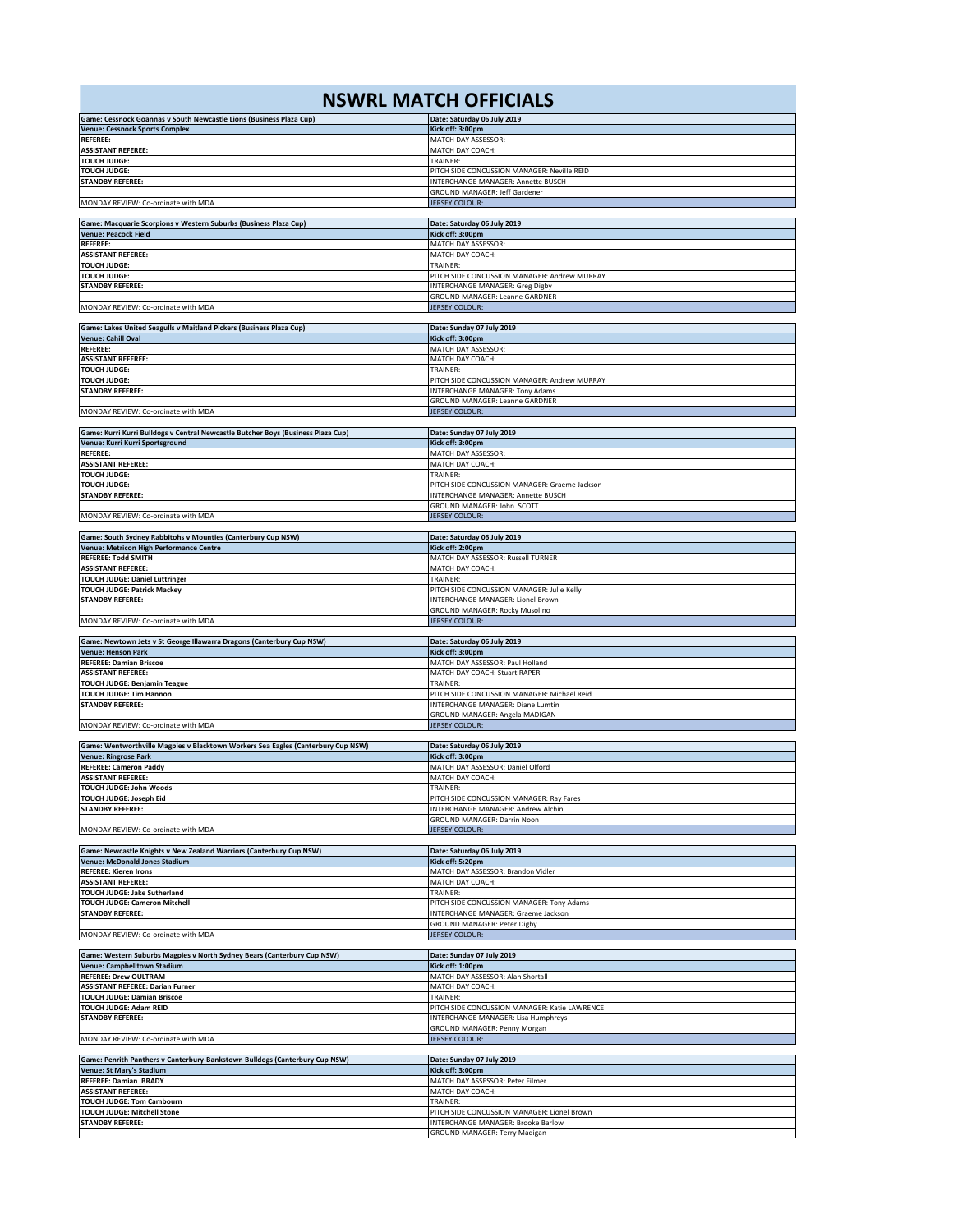## **NSWRL MATCH OFFICIALS**

| Game: Cessnock Goannas v South Newcastle Lions (Business Plaza Cup)              | Date: Saturday 06 July 2019                                                       |
|----------------------------------------------------------------------------------|-----------------------------------------------------------------------------------|
| <b>Venue: Cessnock Sports Complex</b>                                            | Kick off: 3:00pm                                                                  |
| <b>REFEREE:</b>                                                                  | MATCH DAY ASSESSOR:                                                               |
| <b>ASSISTANT REFEREE:</b>                                                        | MATCH DAY COACH:                                                                  |
| <b>TOUCH JUDGE:</b>                                                              | TRAINER:                                                                          |
| <b>TOUCH JUDGE:</b>                                                              | PITCH SIDE CONCUSSION MANAGER: Neville REID                                       |
| <b>STANDBY REFEREE:</b>                                                          | INTERCHANGE MANAGER: Annette BUSCH                                                |
|                                                                                  | <b>GROUND MANAGER: Jeff Gardener</b>                                              |
| MONDAY REVIEW: Co-ordinate with MDA                                              | <b>JERSEY COLOUR:</b>                                                             |
|                                                                                  |                                                                                   |
| Game: Macquarie Scorpions v Western Suburbs (Business Plaza Cup)                 | Date: Saturday 06 July 2019                                                       |
| <b>Venue: Peacock Field</b>                                                      | Kick off: 3:00pm                                                                  |
| REFEREE:                                                                         | MATCH DAY ASSESSOR:                                                               |
| <b>ASSISTANT REFEREE:</b>                                                        | MATCH DAY COACH:                                                                  |
| <b>TOUCH JUDGE:</b>                                                              | TRAINER:                                                                          |
| <b>TOUCH JUDGE:</b>                                                              | PITCH SIDE CONCUSSION MANAGER: Andrew MURRAY                                      |
| <b>STANDBY REFEREE:</b>                                                          | INTERCHANGE MANAGER: Greg Digby                                                   |
|                                                                                  | GROUND MANAGER: Leanne GARDNER                                                    |
| MONDAY REVIEW: Co-ordinate with MDA                                              | <b>JERSEY COLOUR:</b>                                                             |
|                                                                                  |                                                                                   |
| Game: Lakes United Seagulls v Maitland Pickers (Business Plaza Cup)              | Date: Sunday 07 July 2019                                                         |
| Venue: Cahill Oval                                                               | Kick off: 3:00pm                                                                  |
| <b>REFEREE:</b>                                                                  | MATCH DAY ASSESSOR:                                                               |
| <b>ASSISTANT REFEREE:</b>                                                        | MATCH DAY COACH:                                                                  |
| <b>TOUCH JUDGE:</b>                                                              | TRAINER:                                                                          |
| <b>TOUCH JUDGE:</b>                                                              | PITCH SIDE CONCUSSION MANAGER: Andrew MURRAY                                      |
| <b>STANDBY REFEREE:</b>                                                          | <b>INTERCHANGE MANAGER: Tony Adams</b>                                            |
|                                                                                  | GROUND MANAGER: Leanne GARDNER                                                    |
| MONDAY REVIEW: Co-ordinate with MDA                                              | <b>JERSEY COLOUR:</b>                                                             |
|                                                                                  |                                                                                   |
| Game: Kurri Kurri Bulldogs v Central Newcastle Butcher Boys (Business Plaza Cup) | Date: Sunday 07 July 2019                                                         |
| Venue: Kurri Kurri Sportsground                                                  | Kick off: 3:00pm                                                                  |
| <b>REFEREE:</b>                                                                  | MATCH DAY ASSESSOR:                                                               |
| <b>ASSISTANT REFEREE:</b>                                                        | MATCH DAY COACH:                                                                  |
| <b>TOUCH JUDGE:</b>                                                              | TRAINER:                                                                          |
| <b>TOUCH JUDGE:</b>                                                              | PITCH SIDE CONCUSSION MANAGER: Graeme Jackson                                     |
| <b>STANDBY REFEREE:</b>                                                          | INTERCHANGE MANAGER: Annette BUSCH                                                |
|                                                                                  | GROUND MANAGER: John SCOTT                                                        |
|                                                                                  |                                                                                   |
| MONDAY REVIEW: Co-ordinate with MDA                                              | <b>JERSEY COLOUR:</b>                                                             |
|                                                                                  |                                                                                   |
| Game: South Sydney Rabbitohs v Mounties (Canterbury Cup NSW)                     | Date: Saturday 06 July 2019                                                       |
| Venue: Metricon High Performance Centre                                          | Kick off: 2:00pm                                                                  |
| <b>REFEREE: Todd SMITH</b>                                                       | MATCH DAY ASSESSOR: Russell TURNER                                                |
| <b>ASSISTANT REFEREE:</b>                                                        | MATCH DAY COACH:                                                                  |
| <b>TOUCH JUDGE: Daniel Luttringer</b>                                            | TRAINER:                                                                          |
| <b>TOUCH JUDGE: Patrick Mackey</b>                                               | PITCH SIDE CONCUSSION MANAGER: Julie Kelly                                        |
| <b>STANDBY REFEREE:</b>                                                          | INTERCHANGE MANAGER: Lionel Brown                                                 |
|                                                                                  | <b>GROUND MANAGER: Rocky Musolino</b>                                             |
| MONDAY REVIEW: Co-ordinate with MDA                                              | <b>JERSEY COLOUR:</b>                                                             |
|                                                                                  |                                                                                   |
|                                                                                  |                                                                                   |
| Game: Newtown Jets v St George Illawarra Dragons (Canterbury Cup NSW)            | Date: Saturday 06 July 2019                                                       |
| <b>Venue: Henson Park</b>                                                        | Kick off: 3:00pm                                                                  |
| <b>REFEREE: Damian Briscoe</b>                                                   | MATCH DAY ASSESSOR: Paul Holland                                                  |
| <b>ASSISTANT REFEREE:</b>                                                        | MATCH DAY COACH: Stuart RAPER                                                     |
| <b>TOUCH JUDGE: Benjamin Teague</b>                                              | TRAINER:                                                                          |
| TOUCH JUDGE: Tim Hannon                                                          | PITCH SIDE CONCUSSION MANAGER: Michael Reid                                       |
| <b>STANDBY REFEREE:</b>                                                          | INTERCHANGE MANAGER: Diane Lumtin                                                 |
|                                                                                  | GROUND MANAGER: Angela MADIGAN                                                    |
| MONDAY REVIEW: Co-ordinate with MDA                                              | <b>JERSEY COLOUR:</b>                                                             |
|                                                                                  |                                                                                   |
| Game: Wentworthville Magpies v Blacktown Workers Sea Eagles (Canterbury Cup NSW) |                                                                                   |
|                                                                                  | Date: Saturday 06 July 2019<br>Kick off: 3:00pm                                   |
| <b>Venue: Ringrose Park</b><br><b>REFEREE: Cameron Paddy</b>                     |                                                                                   |
| <b>ASSISTANT REFEREE:</b>                                                        | MATCH DAY ASSESSOR: Daniel Olford<br>MATCH DAY COACH:                             |
|                                                                                  | TRAINER:                                                                          |
| TOUCH JUDGE: John Woods                                                          |                                                                                   |
| TOUCH JUDGE: Joseph Eid                                                          | PITCH SIDE CONCUSSION MANAGER: Ray Fares                                          |
| STANDBY REFEREE:                                                                 | INTERCHANGE MANAGER: Andrew Alchin                                                |
|                                                                                  | GROUND MANAGER: Darrin Noon                                                       |
| MONDAY REVIEW: Co-ordinate with MDA                                              | <b>JERSEY COLOUR:</b>                                                             |
|                                                                                  |                                                                                   |
| Game: Newcastle Knights v New Zealand Warriors (Canterbury Cup NSW)              | Date: Saturday 06 July 2019                                                       |
| <b>Venue: McDonald Jones Stadium</b>                                             | Kick off: 5:20pm                                                                  |
| <b>REFEREE: Kieren Irons</b>                                                     | MATCH DAY ASSESSOR: Brandon Vidler                                                |
| <b>ASSISTANT REFEREE:</b>                                                        | MATCH DAY COACH:                                                                  |
| TOUCH JUDGE: Jake Sutherland                                                     | TRAINER:                                                                          |
| TOUCH JUDGE: Cameron Mitchell                                                    | PITCH SIDE CONCUSSION MANAGER: Tony Adams                                         |
| <b>STANDBY REFEREE:</b>                                                          | INTERCHANGE MANAGER: Graeme Jackson                                               |
|                                                                                  | GROUND MANAGER: Peter Digby                                                       |
| MONDAY REVIEW: Co-ordinate with MDA                                              | <b>JERSEY COLOUR:</b>                                                             |
|                                                                                  |                                                                                   |
| Game: Western Suburbs Magpies v North Sydney Bears (Canterbury Cup NSW)          | Date: Sunday 07 July 2019                                                         |
| Venue: Campbelltown Stadium                                                      | Kick off: 1:00pm                                                                  |
| <b>REFEREE: Drew OULTRAM</b>                                                     | MATCH DAY ASSESSOR: Alan Shortall                                                 |
| <b>ASSISTANT REFEREE: Darian Furner</b>                                          | MATCH DAY COACH:                                                                  |
| <b>TOUCH JUDGE: Damian Briscoe</b>                                               | TRAINER:                                                                          |
| TOUCH JUDGE: Adam REID                                                           | PITCH SIDE CONCUSSION MANAGER: Katie LAWRENCE                                     |
| <b>STANDBY REFEREE:</b>                                                          | INTERCHANGE MANAGER: Lisa Humphreys                                               |
|                                                                                  | GROUND MANAGER: Penny Morgan                                                      |
| MONDAY REVIEW: Co-ordinate with MDA                                              | <b>JERSEY COLOUR:</b>                                                             |
|                                                                                  |                                                                                   |
| Game: Penrith Panthers v Canterbury-Bankstown Bulldogs (Canterbury Cup NSW)      | Date: Sunday 07 July 2019                                                         |
| Venue: St Mary's Stadium                                                         | Kick off: 3:00pm                                                                  |
| REFEREE: Damian BRADY                                                            |                                                                                   |
|                                                                                  | MATCH DAY ASSESSOR: Peter Filmer                                                  |
| <b>ASSISTANT REFEREE:</b>                                                        | MATCH DAY COACH:<br>TRAINER:                                                      |
| <b>TOUCH JUDGE: Tom Cambourn</b>                                                 |                                                                                   |
| TOUCH JUDGE: Mitchell Stone<br><b>STANDBY REFEREE:</b>                           | PITCH SIDE CONCUSSION MANAGER: Lionel Brown<br>INTERCHANGE MANAGER: Brooke Barlow |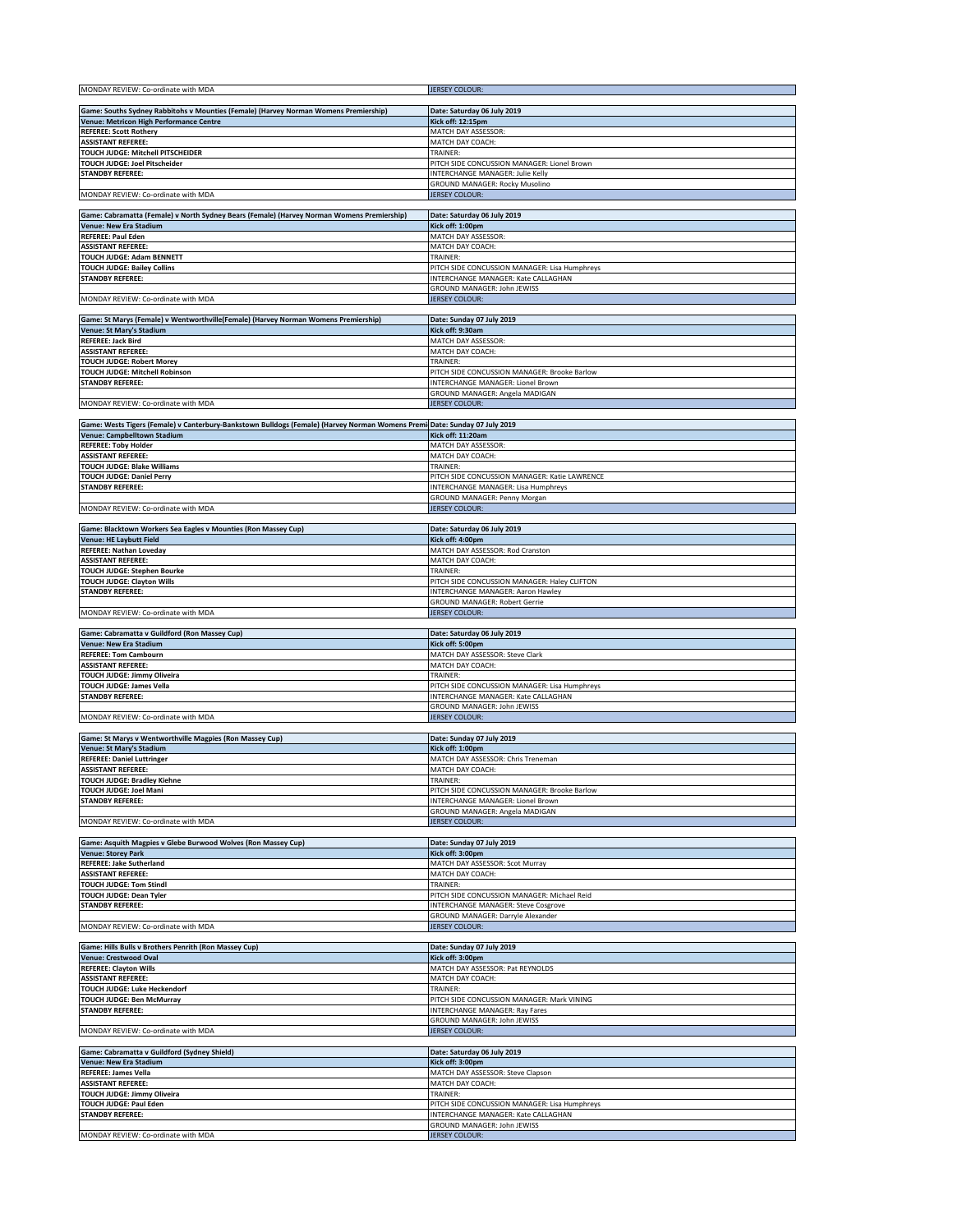| MONDAY REVIEW: Co-ordinate with MDA                                                                                                                       | <b>JERSEY COLOUR:</b>                                               |
|-----------------------------------------------------------------------------------------------------------------------------------------------------------|---------------------------------------------------------------------|
| Game: Souths Sydney Rabbitohs v Mounties (Female) (Harvey Norman Womens Premiership)                                                                      | Date: Saturday 06 July 2019                                         |
| Venue: Metricon High Performance Centre                                                                                                                   | Kick off: 12:15pm                                                   |
| <b>REFEREE: Scott Rothery</b>                                                                                                                             | MATCH DAY ASSESSOR:                                                 |
| <b>ASSISTANT REFEREE:</b>                                                                                                                                 | MATCH DAY COACH:                                                    |
| TOUCH JUDGE: Mitchell PITSCHEIDER<br>TOUCH JUDGE: Joel Pitscheider                                                                                        | TRAINER:<br>PITCH SIDE CONCUSSION MANAGER: Lionel Brown             |
| <b>STANDBY REFEREE:</b>                                                                                                                                   | INTERCHANGE MANAGER: Julie Kelly                                    |
|                                                                                                                                                           | GROUND MANAGER: Rocky Musolino                                      |
| MONDAY REVIEW: Co-ordinate with MDA                                                                                                                       | <b>JERSEY COLOUR:</b>                                               |
| Game: Cabramatta (Female) v North Sydney Bears (Female) (Harvey Norman Womens Premiership)                                                                | Date: Saturday 06 July 2019                                         |
| Venue: New Era Stadium                                                                                                                                    | Kick off: 1:00pm                                                    |
| <b>REFEREE: Paul Eden</b><br><b>ASSISTANT REFEREE:</b>                                                                                                    | MATCH DAY ASSESSOR:                                                 |
| TOUCH JUDGE: Adam BENNETT                                                                                                                                 | MATCH DAY COACH:<br>TRAINER:                                        |
| <b>TOUCH JUDGE: Bailey Collins</b>                                                                                                                        | PITCH SIDE CONCUSSION MANAGER: Lisa Humphreys                       |
| <b>STANDBY REFEREE:</b>                                                                                                                                   | INTERCHANGE MANAGER: Kate CALLAGHAN                                 |
| MONDAY REVIEW: Co-ordinate with MDA                                                                                                                       | GROUND MANAGER: John JEWISS<br><b>JERSEY COLOUR:</b>                |
|                                                                                                                                                           |                                                                     |
| Game: St Marys (Female) v Wentworthville(Female) (Harvey Norman Womens Premiership)                                                                       | Date: Sunday 07 July 2019                                           |
| Venue: St Mary's Stadium                                                                                                                                  | Kick off: 9:30am                                                    |
| REFEREE: Jack Bird<br><b>ASSISTANT REFEREE:</b>                                                                                                           | MATCH DAY ASSESSOR:<br>MATCH DAY COACH:                             |
| <b>TOUCH JUDGE: Robert Morey</b>                                                                                                                          | TRAINER:                                                            |
| TOUCH JUDGE: Mitchell Robinson                                                                                                                            | PITCH SIDE CONCUSSION MANAGER: Brooke Barlow                        |
| <b>STANDBY REFEREE:</b>                                                                                                                                   | INTERCHANGE MANAGER: Lionel Brown<br>GROUND MANAGER: Angela MADIGAN |
| MONDAY REVIEW: Co-ordinate with MDA                                                                                                                       | <b>JERSEY COLOUR:</b>                                               |
|                                                                                                                                                           |                                                                     |
| Game: Wests Tigers (Female) v Canterbury-Bankstown Bulldogs (Female) (Harvey Norman Womens Premi Date: Sunday 07 July 2019<br>Venue: Campbelltown Stadium | Kick off: 11:20am                                                   |
| <b>REFEREE: Toby Holder</b>                                                                                                                               | MATCH DAY ASSESSOR:                                                 |
| <b>ASSISTANT REFEREE:</b>                                                                                                                                 | MATCH DAY COACH:<br>TRAINER:                                        |
| <b>TOUCH JUDGE: Blake Williams</b><br><b>TOUCH JUDGE: Daniel Perry</b>                                                                                    | PITCH SIDE CONCUSSION MANAGER: Katie LAWRENCE                       |
| STANDBY REFEREE:                                                                                                                                          | INTERCHANGE MANAGER: Lisa Humphreys                                 |
|                                                                                                                                                           | GROUND MANAGER: Penny Morgan                                        |
| MONDAY REVIEW: Co-ordinate with MDA                                                                                                                       | <b>JERSEY COLOUR:</b>                                               |
| Game: Blacktown Workers Sea Eagles v Mounties (Ron Massey Cup)                                                                                            | Date: Saturday 06 July 2019                                         |
| <b>Venue: HE Laybutt Field</b>                                                                                                                            | Kick off: 4:00pm                                                    |
| <b>REFEREE: Nathan Loveday</b><br><b>ASSISTANT REFEREE:</b>                                                                                               | MATCH DAY ASSESSOR: Rod Cranston<br>MATCH DAY COACH:                |
| TOUCH JUDGE: Stephen Bourke                                                                                                                               | TRAINER:                                                            |
| <b>TOUCH JUDGE: Clayton Wills</b>                                                                                                                         | PITCH SIDE CONCUSSION MANAGER: Haley CLIFTON                        |
| STANDBY REFEREE:                                                                                                                                          | INTERCHANGE MANAGER: Aaron Hawley<br>GROUND MANAGER: Robert Gerrie  |
| MONDAY REVIEW: Co-ordinate with MDA                                                                                                                       | <b>JERSEY COLOUR:</b>                                               |
|                                                                                                                                                           |                                                                     |
| Game: Cabramatta v Guildford (Ron Massey Cup)<br>Venue: New Era Stadium                                                                                   | Date: Saturday 06 July 2019<br>Kick off: 5:00pm                     |
| <b>REFEREE: Tom Cambourn</b>                                                                                                                              | MATCH DAY ASSESSOR: Steve Clark                                     |
| <b>ASSISTANT REFEREE:</b>                                                                                                                                 | MATCH DAY COACH:                                                    |
| TOUCH JUDGE: Jimmy Oliveira<br>TOUCH JUDGE: James Vella                                                                                                   | TRAINER:<br>PITCH SIDE CONCUSSION MANAGER: Lisa Humphreys           |
| <b>STANDBY REFEREE:</b>                                                                                                                                   | INTERCHANGE MANAGER: Kate CALLAGHAN                                 |
| MONDAY REVIEW: Co-ordinate with MDA                                                                                                                       | GROUND MANAGER: John JEWISS                                         |
|                                                                                                                                                           | <b>JERSEY COLOUR:</b>                                               |
| Game: St Marys v Wentworthville Magpies (Ron Massey Cup)                                                                                                  | Date: Sunday 07 July 2019                                           |
| Venue: St Mary's Stadium                                                                                                                                  | Kick off: 1:00pm                                                    |
| <b>REFEREE: Daniel Luttringer</b><br><b>ASSISTANT REFEREE:</b>                                                                                            | MATCH DAY ASSESSOR: Chris Treneman<br>MATCH DAY COACH:              |
| <b>TOUCH JUDGE: Bradley Kiehne</b>                                                                                                                        | TRAINER:                                                            |
| TOUCH JUDGE: Joel Mani                                                                                                                                    | PITCH SIDE CONCUSSION MANAGER: Brooke Barlow                        |
| STANDBY REFEREE:                                                                                                                                          | INTERCHANGE MANAGER: Lionel Brown<br>GROUND MANAGER: Angela MADIGAN |
| MONDAY REVIEW: Co-ordinate with MDA                                                                                                                       | <b>JERSEY COLOUR:</b>                                               |
| Game: Asquith Magpies v Glebe Burwood Wolves (Ron Massey Cup)                                                                                             | Date: Sunday 07 July 2019                                           |
| <b>Venue: Storey Park</b>                                                                                                                                 | Kick off: 3:00pm                                                    |
| REFEREE: Jake Sutherland                                                                                                                                  | MATCH DAY ASSESSOR: Scot Murray                                     |
| <b>ASSISTANT REFEREE:</b>                                                                                                                                 | MATCH DAY COACH:<br>TRAINER:                                        |
| TOUCH JUDGE: Tom Stindl<br>TOUCH JUDGE: Dean Tyler                                                                                                        | PITCH SIDE CONCUSSION MANAGER: Michael Reid                         |
| <b>STANDBY REFEREE:</b>                                                                                                                                   |                                                                     |
|                                                                                                                                                           | INTERCHANGE MANAGER: Steve Cosgrove                                 |
|                                                                                                                                                           | GROUND MANAGER: Darryle Alexander                                   |
| MONDAY REVIEW: Co-ordinate with MDA                                                                                                                       | <b>JERSEY COLOUR:</b>                                               |
| Game: Hills Bulls v Brothers Penrith (Ron Massey Cup)                                                                                                     | Date: Sunday 07 July 2019                                           |
| <b>Venue: Crestwood Oval</b>                                                                                                                              | Kick off: 3:00pm                                                    |
| <b>REFEREE: Clayton Wills</b><br><b>ASSISTANT REFEREE:</b>                                                                                                | MATCH DAY ASSESSOR: Pat REYNOLDS<br>MATCH DAY COACH:                |
| TOUCH JUDGE: Luke Heckendorf                                                                                                                              | TRAINER:                                                            |
| TOUCH JUDGE: Ben McMurray                                                                                                                                 | PITCH SIDE CONCUSSION MANAGER: Mark VINING                          |
| <b>STANDBY REFEREE:</b>                                                                                                                                   | INTERCHANGE MANAGER: Ray Fares<br>GROUND MANAGER: John JEWISS       |
| MONDAY REVIEW: Co-ordinate with MDA                                                                                                                       | <b>JERSEY COLOUR:</b>                                               |
|                                                                                                                                                           |                                                                     |
| Game: Cabramatta v Guildford (Sydney Shield)<br>Venue: New Era Stadium                                                                                    | Date: Saturday 06 July 2019<br>Kick off: 3:00pm                     |
| REFEREE: James Vella                                                                                                                                      | MATCH DAY ASSESSOR: Steve Clapson                                   |
| <b>ASSISTANT REFEREE:</b>                                                                                                                                 | MATCH DAY COACH:                                                    |
| TOUCH JUDGE: Jimmy Oliveira<br><b>TOUCH JUDGE: Paul Eden</b>                                                                                              | TRAINER:<br>PITCH SIDE CONCUSSION MANAGER: Lisa Humphreys           |
| STANDBY REFEREE:                                                                                                                                          | INTERCHANGE MANAGER: Kate CALLAGHAN                                 |
| MONDAY REVIEW: Co-ordinate with MDA                                                                                                                       | GROUND MANAGER: John JEWISS<br><b>JERSEY COLOUR:</b>                |